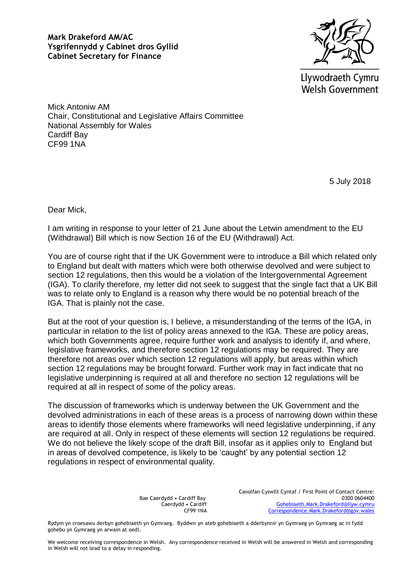**Mark Drakeford AM/AC Ysgrifennydd y Cabinet dros Gyllid Cabinet Secretary for Finance**



Llywodraeth Cymru **Welsh Government** 

Mick Antoniw AM Chair, Constitutional and Legislative Affairs Committee National Assembly for Wales Cardiff Bay CF99 1NA

5 July 2018

Dear Mick,

I am writing in response to your letter of 21 June about the Letwin amendment to the EU (Withdrawal) Bill which is now Section 16 of the EU (Withdrawal) Act.

You are of course right that if the UK Government were to introduce a Bill which related only to England but dealt with matters which were both otherwise devolved and were subject to section 12 regulations, then this would be a violation of the Intergovernmental Agreement (IGA). To clarify therefore, my letter did not seek to suggest that the single fact that a UK Bill was to relate only to England is a reason why there would be no potential breach of the IGA. That is plainly not the case.

But at the root of your question is, I believe, a misunderstanding of the terms of the IGA, in particular in relation to the list of policy areas annexed to the IGA. These are policy areas, which both Governments agree, require further work and analysis to identify if, and where, legislative frameworks, and therefore section 12 regulations may be required. They are therefore not areas over which section 12 regulations will apply, but areas within which section 12 regulations may be brought forward. Further work may in fact indicate that no legislative underpinning is required at all and therefore no section 12 regulations will be required at all in respect of some of the policy areas.

The discussion of frameworks which is underway between the UK Government and the devolved administrations in each of these areas is a process of narrowing down within these areas to identify those elements where frameworks will need legislative underpinning, if any are required at all. Only in respect of these elements will section 12 regulations be required. We do not believe the likely scope of the draft Bill, insofar as it applies only to England but in areas of devolved competence, is likely to be 'caught' by any potential section 12 regulations in respect of environmental quality.

> Bae Caerdydd • Cardiff Bay Caerdydd • Cardiff CF99 1NA

Canolfan Cyswllt Cyntaf / First Point of Contact Centre: 0300 0604400 [Gohebiaeth.Mark.Drakeford@llyw.cymru](mailto:Gohebiaeth.Mark.Drakeford@llyw.cymru) [Correspondence.Mark.Drakeford@gov.wales](mailto:Correspondence.Mark.Drakeford@gov.wales)

Rydym yn croesawu derbyn gohebiaeth yn Gymraeg. Byddwn yn ateb gohebiaeth a dderbynnir yn Gymraeg yn Gymraeg ac ni fydd gohebu yn Gymraeg yn arwain at oedi.

We welcome receiving correspondence in Welsh. Any correspondence received in Welsh will be answered in Welsh and corresponding in Welsh will not lead to a delay in responding.